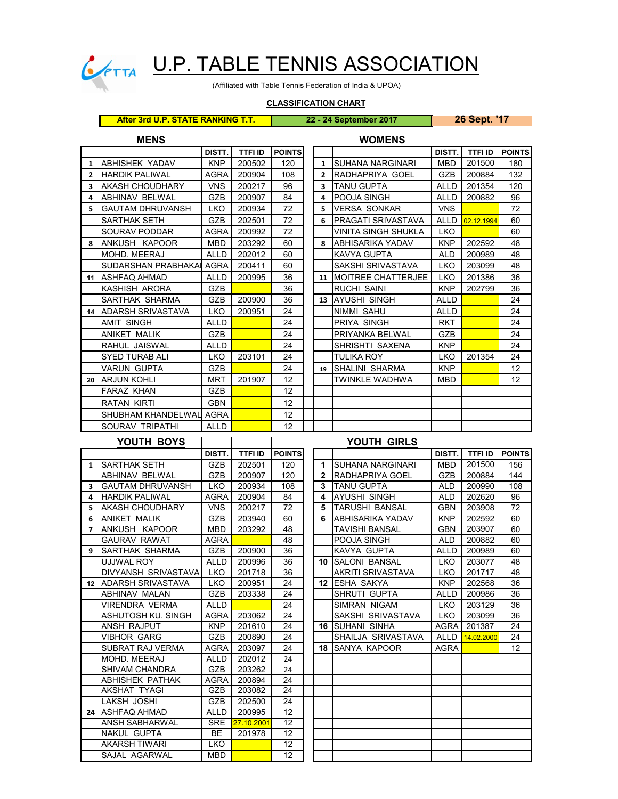

## CONTRA U.P. TABLE TENNIS ASSOCIATION

(Affiliated with Table Tennis Federation of India & UPOA)

## **CLASSIFICATION CHART**

## **After 3rd U.P. STATE RANKING T.T. 22 - 24 September 2017 26 Sept. '17**

**MENS WOMENS**

|                         |                           | DISTT.      | <b>TTFI ID</b> | <b>POINTS</b> |  |                      |                            | DISTT.      | <b>TTFI ID</b> | <b>POINTS</b> |
|-------------------------|---------------------------|-------------|----------------|---------------|--|----------------------|----------------------------|-------------|----------------|---------------|
| 1                       | <b>ABHISHEK YADAV</b>     | <b>KNP</b>  | 200502         | 120           |  | $\mathbf{1}$         | <b>ISUHANA NARGINARI</b>   | <b>MBD</b>  | 201500         | 180           |
| $\overline{2}$          | <b>HARDIK PALIWAL</b>     | <b>AGRA</b> | 200904         | 108           |  | $\overline{2}$       | RADHAPRIYA GOEL            | <b>GZB</b>  | 200884         | 132           |
| 3                       | <b>AKASH CHOUDHARY</b>    | <b>VNS</b>  | 200217         | 96            |  | 3                    | <b>TANU GUPTA</b>          | <b>ALLD</b> | 201354         | 120           |
| 4                       | ABHINAV BELWAL            | <b>GZB</b>  | 200907         | 84            |  | 4                    | POOJA SINGH                | <b>ALLD</b> | 200882         | 96            |
| 5                       | <b>GAUTAM DHRUVANSH</b>   | <b>LKO</b>  | 200934         | 72            |  | 5                    | <b>VERSA SONKAR</b>        | <b>VNS</b>  |                | 72            |
|                         | SARTHAK SETH              | GZB         | 202501         | 72            |  | 6                    | <b>IPRAGATI SRIVASTAVA</b> | ALLD        | 02.12.1994     | 60            |
|                         | SOURAV PODDAR             | <b>AGRA</b> | 200992         | 72            |  |                      | VINITA SINGH SHUKLA        | <b>LKO</b>  |                | 60            |
| 8                       | ANKUSH KAPOOR             | MBD         | 203292         | 60            |  | 8                    | <b>JABHISARIKA YADAV</b>   | KNP         | 202592         | 48            |
|                         | MOHD, MEERAJ              | <b>ALLD</b> | 202012         | 60            |  |                      | IKAVYA GUPTA               | <b>ALD</b>  | 200989         | 48            |
|                         | SUDARSHAN PRABHAKAI       | <b>AGRA</b> | 200411         | 60            |  |                      | <b>SAKSHI SRIVASTAVA</b>   | <b>LKO</b>  | 203099         | 48            |
| 11                      | <b>ASHFAO AHMAD</b>       | ALLD        | 200995         | 36            |  |                      | 11 IMOITREE CHATTERJEE     | <b>LKO</b>  | 201386         | 36            |
|                         | KASHISH ARORA             | GZB         |                | 36            |  |                      | <b>RUCHI SAINI</b>         | <b>KNP</b>  | 202799         | 36            |
|                         | SARTHAK SHARMA            | <b>GZB</b>  | 200900         | 36            |  |                      | 13 AYUSHI SINGH            | <b>ALLD</b> |                | 24            |
| 14                      | <b>JADARSH SRIVASTAVA</b> | <b>LKO</b>  | 200951         | 24            |  |                      | <b>NIMMI SAHU</b>          | <b>ALLD</b> |                | 24            |
|                         | <b>AMIT SINGH</b>         | ALLD        |                | 24            |  |                      | PRIYA SINGH                | <b>RKT</b>  |                | 24            |
|                         | <b>ANIKET MALIK</b>       | <b>GZB</b>  |                | 24            |  |                      | <b>PRIYANKA BELWAL</b>     | <b>GZB</b>  |                | 24            |
|                         | RAHUL JAISWAL             | <b>ALLD</b> |                | 24            |  |                      | SHRISHTI SAXENA            | <b>KNP</b>  |                | 24            |
|                         | <b>SYED TURAB ALI</b>     | <b>LKO</b>  | 203101         | 24            |  |                      | TULIKA ROY                 | <b>LKO</b>  | 201354         | 24            |
|                         | <b>VARUN GUPTA</b>        | <b>GZB</b>  |                | 24            |  | 19                   | <b>ISHALINI SHARMA</b>     | <b>KNP</b>  |                | 12            |
| 20                      | <b>IARJUN KOHLI</b>       | <b>MRT</b>  | 201907         | 12            |  |                      | TWINKLE WADHWA             | <b>MBD</b>  |                | 12            |
|                         | <b>FARAZ KHAN</b>         | <b>GZB</b>  |                | 12            |  |                      |                            |             |                |               |
|                         | <b>RATAN KIRTI</b>        | <b>GBN</b>  |                | 12            |  |                      |                            |             |                |               |
|                         | SHUBHAM KHANDELWAL        | <b>AGRA</b> |                | 12            |  |                      |                            |             |                |               |
|                         | SOURAV TRIPATHI           | <b>ALLD</b> |                | 12            |  |                      |                            |             |                |               |
|                         | YOUTH BOYS                |             |                | YOUTH GIRLS   |  |                      |                            |             |                |               |
|                         |                           | DISTT.      | <b>TTFI ID</b> | <b>POINTS</b> |  |                      |                            | DISTT.      | <b>TTFI ID</b> | <b>POINTS</b> |
| $\mathbf{1}$            | <b>SARTHAK SETH</b>       | <b>GZB</b>  | 202501         | 120           |  | $\blacktriangleleft$ | <b>SUHANA NARGINARI</b>    | <b>MBD</b>  | 201500         | 156           |
|                         | <b>ABHINAV BELWAL</b>     | <b>GZB</b>  | 200907         | 120           |  | $\mathbf{2}$         | <b>RADHAPRIYA GOEL</b>     | <b>GZB</b>  | 200884         | 144           |
| $\overline{\mathbf{a}}$ | <b>CALITAM DHRUVANSH</b>  | I K         | 200034         | 108           |  | $\mathbf{\hat{z}}$   | <b>ITANIL GLIPTA</b>       | 41 D        | 200990         | 108           |

|                |                          | DISTT.      | TTFI ID    | <b>POINTS</b> |                      |                          | DISTT.      | <b>TTFI ID</b> | <b>POINT</b>    |
|----------------|--------------------------|-------------|------------|---------------|----------------------|--------------------------|-------------|----------------|-----------------|
| $\mathbf{1}$   | <b>SARTHAK SETH</b>      | <b>GZB</b>  | 202501     | 120           | $\blacktriangleleft$ | <b>SUHANA NARGINARI</b>  | <b>MBD</b>  | 201500         | 156             |
|                | ABHINAV BELWAL           | <b>GZB</b>  | 200907     | 120           | $\mathbf{2}$         | RADHAPRIYA GOEL          | <b>GZB</b>  | 200884         | 144             |
| 3              | <b>GAUTAM DHRUVANSH</b>  | <b>LKO</b>  | 200934     | 108           | 3                    | <b>TANU GUPTA</b>        | <b>ALD</b>  | 200990         | 108             |
| 4              | <b>HARDIK PALIWAL</b>    | <b>AGRA</b> | 200904     | 84            | 4                    | <b>AYUSHI SINGH</b>      | <b>ALD</b>  | 202620         | 96              |
| 5.             | <b>AKASH CHOUDHARY</b>   | <b>VNS</b>  | 200217     | 72            | 5                    | <b>TARUSHI BANSAL</b>    | <b>GBN</b>  | 203908         | 72              |
| 6              | <b>ANIKET MALIK</b>      | <b>GZB</b>  | 203940     | 60            | 6                    | ABHISARIKA YADAV         | <b>KNP</b>  | 202592         | 60              |
| $\overline{ }$ | ANKUSH KAPOOR            | <b>MBD</b>  | 203292     | 48            |                      | <b>TAVISHI BANSAL</b>    | <b>GBN</b>  | 203907         | 60              |
|                | <b>GAURAV RAWAT</b>      | <b>AGRA</b> |            | 48            |                      | POOJA SINGH              | <b>ALD</b>  | 200882         | 60              |
| 9              | SARTHAK SHARMA           | <b>GZB</b>  | 200900     | 36            |                      | KAVYA GUPTA              | ALLD        | 200989         | 60              |
|                | UJJWAL ROY               | <b>ALLD</b> | 200996     | 36            |                      | <b>10 ISALONI BANSAL</b> | <b>LKO</b>  | 203077         | 48              |
|                | DIVYANSH SRIVASTAVA      | <b>LKO</b>  | 201718     | 36            |                      | <b>AKRITI SRIVASTAVA</b> | <b>LKO</b>  | 201717         | 48              |
| 12             | <b>ADARSH SRIVASTAVA</b> | LKO         | 200951     | 24            |                      | <b>12 ESHA SAKYA</b>     | <b>KNP</b>  | 202568         | 36              |
|                | ABHINAV MALAN            | <b>GZB</b>  | 203338     | 24            |                      | SHRUTI GUPTA             | ALLD        | 200986         | 36              |
|                | <b>VIRENDRA VERMA</b>    | <b>ALLD</b> |            | 24            |                      | SIMRAN NIGAM             | LKO.        | 203129         | 36              |
|                | ASHUTOSH KU. SINGH       | AGRA        | 203062     | 24            |                      | SAKSHI SRIVASTAVA        | <b>LKO</b>  | 203099         | 36              |
|                | ANSH RAJPUT              | <b>KNP</b>  | 201610     | 24            |                      | <b>16 SUHANI SINHA</b>   | <b>AGRA</b> | 201387         | 24              |
|                | <b>VIBHOR GARG</b>       | <b>GZB</b>  | 200890     | 24            |                      | SHAILJA SRIVASTAVA       | <b>ALLD</b> | 14.02.2000     | 24              |
|                | SUBRAT RAJ VERMA         | <b>AGRA</b> | 203097     | 24            |                      | <b>18 ISANYA KAPOOR</b>  | <b>AGRA</b> |                | 12 <sup>2</sup> |
|                | MOHD, MEERAJ             | ALLD        | 202012     | 24            |                      |                          |             |                |                 |
|                | <b>SHIVAM CHANDRA</b>    | <b>GZB</b>  | 203262     | 24            |                      |                          |             |                |                 |
|                | <b>ABHISHEK PATHAK</b>   | <b>AGRA</b> | 200894     | 24            |                      |                          |             |                |                 |
|                | AKSHAT TYAGI             | <b>GZB</b>  | 203082     | 24            |                      |                          |             |                |                 |
|                | LAKSH JOSHI              | <b>GZB</b>  | 202500     | 24            |                      |                          |             |                |                 |
| 24             | <b>ASHFAQ AHMAD</b>      | <b>ALLD</b> | 200995     | 12            |                      |                          |             |                |                 |
|                | ANSH SABHARWAL           | <b>SRE</b>  | 27.10.2001 | 12            |                      |                          |             |                |                 |
|                | <b>NAKUL GUPTA</b>       | <b>BE</b>   | 201978     | 12            |                      |                          |             |                |                 |
|                | <b>AKARSH TIWARI</b>     | <b>LKO</b>  |            | 12            |                      |                          |             |                |                 |
|                | SAJAL AGARWAL            | MBD         |            | 12            |                      |                          |             |                |                 |